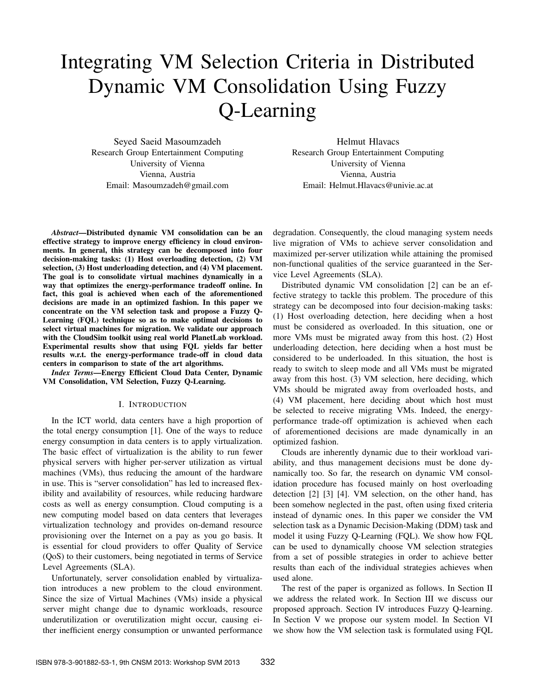# Integrating VM Selection Criteria in Distributed Dynamic VM Consolidation Using Fuzzy Q-Learning

Seyed Saeid Masoumzadeh Research Group Entertainment Computing University of Vienna Vienna, Austria Email: Masoumzadeh@gmail.com

Helmut Hlavacs Research Group Entertainment Computing University of Vienna Vienna, Austria Email: Helmut.Hlavacs@univie.ac.at

*Abstract*—Distributed dynamic VM consolidation can be an effective strategy to improve energy efficiency in cloud environments. In general, this strategy can be decomposed into four decision-making tasks: (1) Host overloading detection, (2) VM selection, (3) Host underloading detection, and (4) VM placement. The goal is to consolidate virtual machines dynamically in a way that optimizes the energy-performance tradeoff online. In fact, this goal is achieved when each of the aforementioned decisions are made in an optimized fashion. In this paper we concentrate on the VM selection task and propose a Fuzzy Q-Learning (FQL) technique so as to make optimal decisions to select virtual machines for migration. We validate our approach with the CloudSim toolkit using real world PlanetLab workload. Experimental results show that using FQL yields far better results w.r.t. the energy-performance trade-off in cloud data centers in comparison to state of the art algorithms.

*Index Terms*—Energy Efficient Cloud Data Center, Dynamic VM Consolidation, VM Selection, Fuzzy Q-Learning.

## I. INTRODUCTION

In the ICT world, data centers have a high proportion of the total energy consumption [1]. One of the ways to reduce energy consumption in data centers is to apply virtualization. The basic effect of virtualization is the ability to run fewer physical servers with higher per-server utilization as virtual machines (VMs), thus reducing the amount of the hardware in use. This is "server consolidation" has led to increased flexibility and availability of resources, while reducing hardware costs as well as energy consumption. Cloud computing is a new computing model based on data centers that leverages virtualization technology and provides on-demand resource provisioning over the Internet on a pay as you go basis. It is essential for cloud providers to offer Quality of Service (QoS) to their customers, being negotiated in terms of Service Level Agreements (SLA).

Unfortunately, server consolidation enabled by virtualization introduces a new problem to the cloud environment. Since the size of Virtual Machines (VMs) inside a physical server might change due to dynamic workloads, resource underutilization or overutilization might occur, causing either inefficient energy consumption or unwanted performance degradation. Consequently, the cloud managing system needs live migration of VMs to achieve server consolidation and maximized per-server utilization while attaining the promised non-functional qualities of the service guaranteed in the Service Level Agreements (SLA).

Distributed dynamic VM consolidation [2] can be an effective strategy to tackle this problem. The procedure of this strategy can be decomposed into four decision-making tasks: (1) Host overloading detection, here deciding when a host must be considered as overloaded. In this situation, one or more VMs must be migrated away from this host. (2) Host underloading detection, here deciding when a host must be considered to be underloaded. In this situation, the host is ready to switch to sleep mode and all VMs must be migrated away from this host. (3) VM selection, here deciding, which VMs should be migrated away from overloaded hosts, and (4) VM placement, here deciding about which host must be selected to receive migrating VMs. Indeed, the energyperformance trade-off optimization is achieved when each of aforementioned decisions are made dynamically in an optimized fashion.

Clouds are inherently dynamic due to their workload variability, and thus management decisions must be done dynamically too. So far, the research on dynamic VM consolidation procedure has focused mainly on host overloading detection [2] [3] [4]. VM selection, on the other hand, has been somehow neglected in the past, often using fixed criteria instead of dynamic ones. In this paper we consider the VM selection task as a Dynamic Decision-Making (DDM) task and model it using Fuzzy Q-Learning (FQL). We show how FQL can be used to dynamically choose VM selection strategies from a set of possible strategies in order to achieve better results than each of the individual strategies achieves when used alone.

The rest of the paper is organized as follows. In Section II we address the related work. In Section III we discuss our proposed approach. Section IV introduces Fuzzy Q-learning. In Section V we propose our system model. In Section VI we show how the VM selection task is formulated using FQL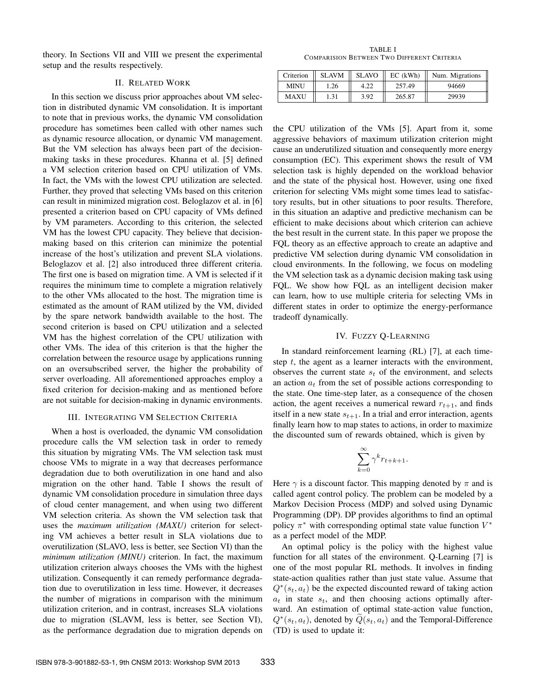theory. In Sections VII and VIII we present the experimental setup and the results respectively.

## II. RELATED WORK

In this section we discuss prior approaches about VM selection in distributed dynamic VM consolidation. It is important to note that in previous works, the dynamic VM consolidation procedure has sometimes been called with other names such as dynamic resource allocation, or dynamic VM management. But the VM selection has always been part of the decisionmaking tasks in these procedures. Khanna et al. [5] defined a VM selection criterion based on CPU utilization of VMs. In fact, the VMs with the lowest CPU utilization are selected. Further, they proved that selecting VMs based on this criterion can result in minimized migration cost. Beloglazov et al. in [6] presented a criterion based on CPU capacity of VMs defined by VM parameters. According to this criterion, the selected VM has the lowest CPU capacity. They believe that decisionmaking based on this criterion can minimize the potential increase of the host's utilization and prevent SLA violations. Beloglazov et al. [2] also introduced three different criteria. The first one is based on migration time. A VM is selected if it requires the minimum time to complete a migration relatively to the other VMs allocated to the host. The migration time is estimated as the amount of RAM utilized by the VM, divided by the spare network bandwidth available to the host. The second criterion is based on CPU utilization and a selected VM has the highest correlation of the CPU utilization with other VMs. The idea of this criterion is that the higher the correlation between the resource usage by applications running on an oversubscribed server, the higher the probability of server overloading. All aforementioned approaches employ a fixed criterion for decision-making and as mentioned before are not suitable for decision-making in dynamic environments.

## III. INTEGRATING VM SELECTION CRITERIA

When a host is overloaded, the dynamic VM consolidation procedure calls the VM selection task in order to remedy this situation by migrating VMs. The VM selection task must choose VMs to migrate in a way that decreases performance degradation due to both overutilization in one hand and also migration on the other hand. Table I shows the result of dynamic VM consolidation procedure in simulation three days of cloud center management, and when using two different VM selection criteria. As shown the VM selection task that uses the *maximum utilization (MAXU)* criterion for selecting VM achieves a better result in SLA violations due to overutilization (SLAVO, less is better, see Section VI) than the *minimum utilization (MINU)* criterion. In fact, the maximum utilization criterion always chooses the VMs with the highest utilization. Consequently it can remedy performance degradation due to overutilization in less time. However, it decreases the number of migrations in comparison with the minimum utilization criterion, and in contrast, increases SLA violations due to migration (SLAVM, less is better, see Section VI), as the performance degradation due to migration depends on

TABLE I COMPARISION BETWEEN TWO DIFFERENT CRITERIA

| Criterion | <b>SLAVM</b> | <b>SLAVO</b> | EC (kWh) | Num. Migrations |
|-----------|--------------|--------------|----------|-----------------|
| MINU      | .26          | 4.22         | 257.49   | 94669           |
| MAXU      | .31          | 3.92         | 265.87   | 29939           |

the CPU utilization of the VMs [5]. Apart from it, some aggressive behaviors of maximum utilization criterion might cause an underutilized situation and consequently more energy consumption (EC). This experiment shows the result of VM selection task is highly depended on the workload behavior and the state of the physical host. However, using one fixed criterion for selecting VMs might some times lead to satisfactory results, but in other situations to poor results. Therefore, in this situation an adaptive and predictive mechanism can be efficient to make decisions about which criterion can achieve the best result in the current state. In this paper we propose the FQL theory as an effective approach to create an adaptive and predictive VM selection during dynamic VM consolidation in cloud environments. In the following, we focus on modeling the VM selection task as a dynamic decision making task using FQL. We show how FQL as an intelligent decision maker can learn, how to use multiple criteria for selecting VMs in different states in order to optimize the energy-performance tradeoff dynamically.

## IV. FUZZY Q-LEARNING

In standard reinforcement learning (RL) [7], at each timestep  $t$ , the agent as a learner interacts with the environment, observes the current state  $s_t$  of the environment, and selects an action  $a_t$  from the set of possible actions corresponding to the state. One time-step later, as a consequence of the chosen action, the agent receives a numerical reward  $r_{t+1}$ , and finds itself in a new state  $s_{t+1}$ . In a trial and error interaction, agents finally learn how to map states to actions, in order to maximize the discounted sum of rewards obtained, which is given by

$$
\sum_{k=0}^{\infty} \gamma^k r_{t+k+1}.
$$

Here  $\gamma$  is a discount factor. This mapping denoted by  $\pi$  and is called agent control policy. The problem can be modeled by a Markov Decision Process (MDP) and solved using Dynamic Programming (DP). DP provides algorithms to find an optimal policy  $\pi^*$  with corresponding optimal state value function  $V^*$ as a perfect model of the MDP.

An optimal policy is the policy with the highest value function for all states of the environment. Q-Learning [7] is one of the most popular RL methods. It involves in finding state-action qualities rather than just state value. Assume that  $Q^*(s_t, a_t)$  be the expected discounted reward of taking action  $a_t$  in state  $s_t$ , and then choosing actions optimally afterward. An estimation of optimal state-action value function,  $Q^*(s_t, a_t)$ , denoted by  $\widetilde{Q}(s_t, a_t)$  and the Temporal-Difference (TD) is used to update it: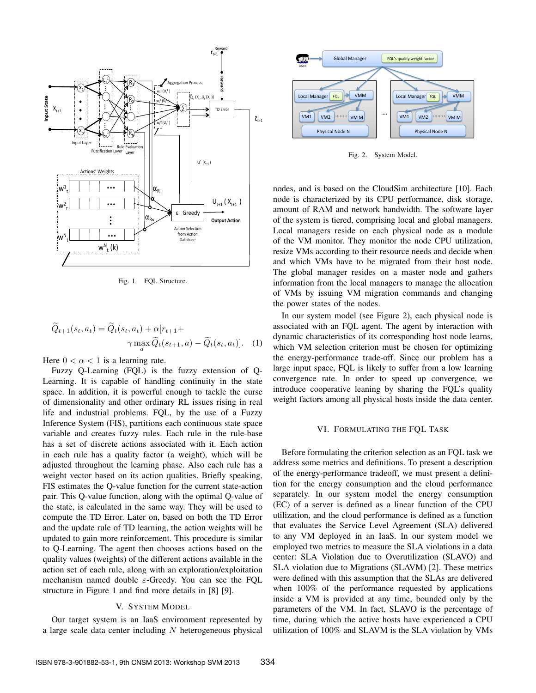

Fig. 1. FQL Structure.

$$
\widetilde{Q}_{t+1}(s_t, a_t) = \widetilde{Q}_t(s_t, a_t) + \alpha [r_{t+1} + \gamma \max_a \widetilde{Q}_t(s_{t+1}, a) - \widetilde{Q}_t(s_t, a_t)].
$$
 (1)

Here  $0 < \alpha < 1$  is a learning rate.

Fuzzy Q-Learning (FQL) is the fuzzy extension of Q-Learning. It is capable of handling continuity in the state space. In addition, it is powerful enough to tackle the curse of dimensionality and other ordinary RL issues rising in real life and industrial problems. FQL, by the use of a Fuzzy Inference System (FIS), partitions each continuous state space variable and creates fuzzy rules. Each rule in the rule-base has a set of discrete actions associated with it. Each action in each rule has a quality factor (a weight), which will be adjusted throughout the learning phase. Also each rule has a weight vector based on its action qualities. Briefly speaking, FIS estimates the Q-value function for the current state-action pair. This Q-value function, along with the optimal Q-value of the state, is calculated in the same way. They will be used to compute the TD Error. Later on, based on both the TD Error and the update rule of TD learning, the action weights will be updated to gain more reinforcement. This procedure is similar to Q-Learning. The agent then chooses actions based on the quality values (weights) of the different actions available in the action set of each rule, along with an exploration/exploitation mechanism named double  $\varepsilon$ -Greedy. You can see the FOL structure in Figure 1 and find more details in [8] [9].

#### V. SYSTEM MODEL

Our target system is an IaaS environment represented by a large scale data center including  $N$  heterogeneous physical



Fig. 2. System Model.

nodes, and is based on the CloudSim architecture [10]. Each node is characterized by its CPU performance, disk storage, amount of RAM and network bandwidth. The software layer of the system is tiered, comprising local and global managers. Local managers reside on each physical node as a module of the VM monitor. They monitor the node CPU utilization, resize VMs according to their resource needs and decide when and which VMs have to be migrated from their host node. The global manager resides on a master node and gathers information from the local managers to manage the allocation of VMs by issuing VM migration commands and changing the power states of the nodes.

In our system model (see Figure 2), each physical node is associated with an FQL agent. The agent by interaction with dynamic characteristics of its corresponding host node learns, which VM selection criterion must be chosen for optimizing the energy-performance trade-off. Since our problem has a large input space, FQL is likely to suffer from a low learning convergence rate. In order to speed up convergence, we introduce cooperative leaning by sharing the FQL's quality weight factors among all physical hosts inside the data center.

#### VI. FORMULATING THE FQL TASK

Before formulating the criterion selection as an FQL task we address some metrics and definitions. To present a description of the energy-performance tradeoff, we must present a definition for the energy consumption and the cloud performance separately. In our system model the energy consumption (EC) of a server is defined as a linear function of the CPU utilization, and the cloud performance is defined as a function that evaluates the Service Level Agreement (SLA) delivered to any VM deployed in an IaaS. In our system model we employed two metrics to measure the SLA violations in a data center: SLA Violation due to Overutilization (SLAVO) and SLA violation due to Migrations (SLAVM) [2]. These metrics were defined with this assumption that the SLAs are delivered when 100% of the performance requested by applications inside a VM is provided at any time, bounded only by the parameters of the VM. In fact, SLAVO is the percentage of time, during which the active hosts have experienced a CPU utilization of 100% and SLAVM is the SLA violation by VMs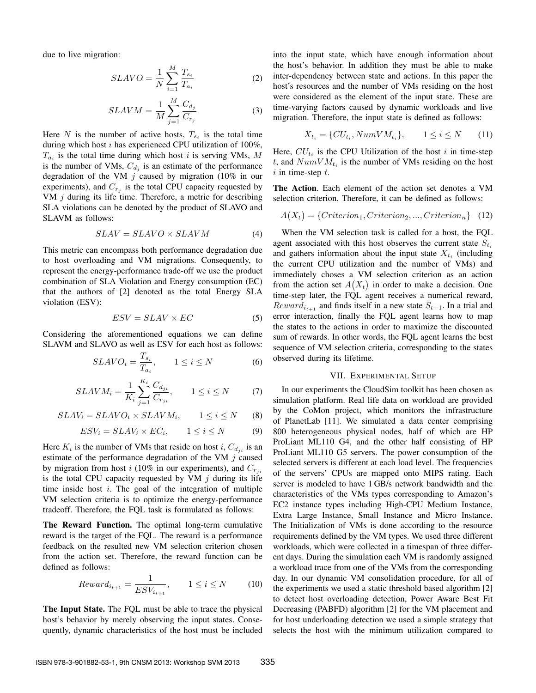due to live migration:

$$
SLAVO = \frac{1}{N} \sum_{i=1}^{M} \frac{T_{s_i}}{T_{a_i}} \tag{2}
$$

$$
SLAVM = \frac{1}{M} \sum_{j=1}^{M} \frac{C_{d_j}}{C_{r_j}}
$$
(3)

Here N is the number of active hosts,  $T_{s_i}$  is the total time during which host  $i$  has experienced CPU utilization of 100%,  $T_{a_i}$  is the total time during which host i is serving VMs, M is the number of VMs,  $C_{d_j}$  is an estimate of the performance degradation of the VM  $j$  caused by migration (10% in our experiments), and  $C_{r_j}$  is the total CPU capacity requested by VM  $j$  during its life time. Therefore, a metric for describing SLA violations can be denoted by the product of SLAVO and SLAVM as follows:

$$
SLAV = SLAVO \times SLAVM \tag{4}
$$

This metric can encompass both performance degradation due to host overloading and VM migrations. Consequently, to represent the energy-performance trade-off we use the product combination of SLA Violation and Energy consumption (EC) that the authors of [2] denoted as the total Energy SLA violation (ESV):

$$
ESV = SLAV \times EC \tag{5}
$$

Considering the aforementioned equations we can define SLAVM and SLAVO as well as ESV for each host as follows:

$$
SLAVO_i = \frac{T_{s_i}}{T_{a_i}}, \qquad 1 \le i \le N \tag{6}
$$

$$
SLAVM_i = \frac{1}{K_i} \sum_{j=1}^{K_i} \frac{C_{d_{ji}}}{C_{r_{ji}}}, \qquad 1 \le i \le N \tag{7}
$$

$$
SLAV_i = SLAVO_i \times SLAVM_i, \qquad 1 \le i \le N \qquad (8)
$$

$$
ESV_i = SLAV_i \times EC_i, \qquad 1 \le i \le N \tag{9}
$$

Here  $K_i$  is the number of VMs that reside on host i,  $C_{d_{ji}}$  is an estimate of the performance degradation of the VM  $j$  caused by migration from host i (10% in our experiments), and  $C_{r,i}$ is the total CPU capacity requested by VM  $j$  during its life time inside host  $i$ . The goal of the integration of multiple VM selection criteria is to optimize the energy-performance tradeoff. Therefore, the FQL task is formulated as follows:

The Reward Function. The optimal long-term cumulative reward is the target of the FQL. The reward is a performance feedback on the resulted new VM selection criterion chosen from the action set. Therefore, the reward function can be defined as follows:

$$
Reward_{i_{t+1}} = \frac{1}{ESV_{i_{t+1}}}, \qquad 1 \le i \le N \tag{10}
$$

The Input State. The FQL must be able to trace the physical host's behavior by merely observing the input states. Consequently, dynamic characteristics of the host must be included into the input state, which have enough information about the host's behavior. In addition they must be able to make inter-dependency between state and actions. In this paper the host's resources and the number of VMs residing on the host were considered as the element of the input state. These are time-varying factors caused by dynamic workloads and live migration. Therefore, the input state is defined as follows:

$$
X_{t_i} = \{CU_{t_i}, NumVM_{t_i}\}, \qquad 1 \le i \le N \qquad (11)
$$

Here,  $CU_{t_i}$  is the CPU Utilization of the host i in time-step t, and  $NumVM_{t_i}$  is the number of VMs residing on the host  $i$  in time-step  $t$ .

The Action. Each element of the action set denotes a VM selection criterion. Therefore, it can be defined as follows:

$$
A(X_t) = \{Criterion_1, Criterion_2, ..., Criterion_n\} \quad (12)
$$

When the VM selection task is called for a host, the FQL agent associated with this host observes the current state  $S_{t_i}$ and gathers information about the input state  $X_{t_i}$  (including the current CPU utilization and the number of VMs) and immediately choses a VM selection criterion as an action from the action set  $A(X_t)$  in order to make a decision. One time-step later, the FQL agent receives a numerical reward,  $Reward_{i_{t+1}}$  and finds itself in a new state  $S_{t+1}$ . In a trial and error interaction, finally the FQL agent learns how to map the states to the actions in order to maximize the discounted sum of rewards. In other words, the FQL agent learns the best sequence of VM selection criteria, corresponding to the states observed during its lifetime.

#### VII. EXPERIMENTAL SETUP

In our experiments the CloudSim toolkit has been chosen as simulation platform. Real life data on workload are provided by the CoMon project, which monitors the infrastructure of PlanetLab [11]. We simulated a data center comprising 800 heterogeneous physical nodes, half of which are HP ProLiant ML110 G4, and the other half consisting of HP ProLiant ML110 G5 servers. The power consumption of the selected servers is different at each load level. The frequencies of the servers' CPUs are mapped onto MIPS rating. Each server is modeled to have 1 GB/s network bandwidth and the characteristics of the VMs types corresponding to Amazon's EC2 instance types including High-CPU Medium Instance, Extra Large Instance, Small Instance and Micro Instance. The Initialization of VMs is done according to the resource requirements defined by the VM types. We used three different workloads, which were collected in a timespan of three different days. During the simulation each VM is randomly assigned a workload trace from one of the VMs from the corresponding day. In our dynamic VM consolidation procedure, for all of the experiments we used a static threshold based algorithm [2] to detect host overloading detection, Power Aware Best Fit Decreasing (PABFD) algorithm [2] for the VM placement and for host underloading detection we used a simple strategy that selects the host with the minimum utilization compared to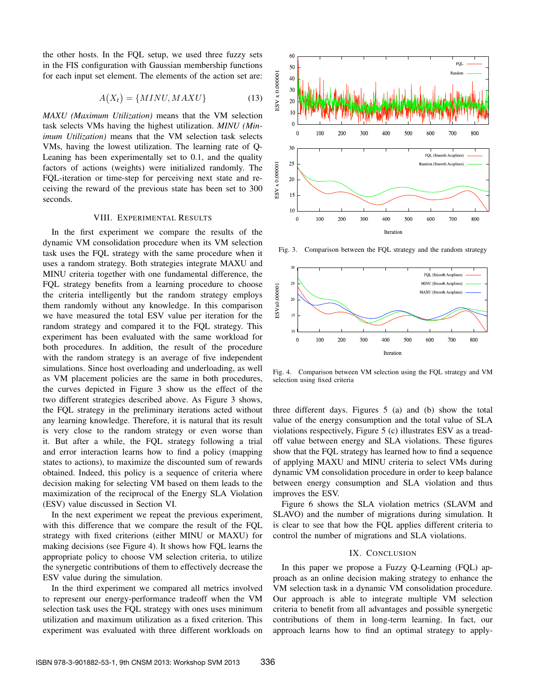the other hosts. In the FQL setup, we used three fuzzy sets in the FIS configuration with Gaussian membership functions for each input set element. The elements of the action set are:

$$
A(X_t) = \{MINU, MAXU\}
$$
 (13)

*MAXU (Maximum Utilization)* means that the VM selection task selects VMs having the highest utilization. *MINU (Minimum Utilization)* means that the VM selection task selects VMs, having the lowest utilization. The learning rate of Q-Leaning has been experimentally set to 0.1, and the quality factors of actions (weights) were initialized randomly. The FQL-iteration or time-step for perceiving next state and receiving the reward of the previous state has been set to 300 seconds.

## VIII. EXPERIMENTAL RESULTS

In the first experiment we compare the results of the dynamic VM consolidation procedure when its VM selection task uses the FQL strategy with the same procedure when it uses a random strategy. Both strategies integrate MAXU and MINU criteria together with one fundamental difference, the FQL strategy benefits from a learning procedure to choose the criteria intelligently but the random strategy employs them randomly without any knowledge. In this comparison we have measured the total ESV value per iteration for the random strategy and compared it to the FQL strategy. This experiment has been evaluated with the same workload for both procedures. In addition, the result of the procedure with the random strategy is an average of five independent simulations. Since host overloading and underloading, as well as VM placement policies are the same in both procedures, the curves depicted in Figure 3 show us the effect of the two different strategies described above. As Figure 3 shows, the FQL strategy in the preliminary iterations acted without any learning knowledge. Therefore, it is natural that its result is very close to the random strategy or even worse than it. But after a while, the FQL strategy following a trial and error interaction learns how to find a policy (mapping states to actions), to maximize the discounted sum of rewards obtained. Indeed, this policy is a sequence of criteria where decision making for selecting VM based on them leads to the maximization of the reciprocal of the Energy SLA Violation (ESV) value discussed in Section VI.

In the next experiment we repeat the previous experiment, with this difference that we compare the result of the FQL strategy with fixed criterions (either MINU or MAXU) for making decisions (see Figure 4). It shows how FQL learns the appropriate policy to choose VM selection criteria, to utilize the synergetic contributions of them to effectively decrease the ESV value during the simulation.

In the third experiment we compared all metrics involved to represent our energy-performance tradeoff when the VM selection task uses the FQL strategy with ones uses minimum utilization and maximum utilization as a fixed criterion. This experiment was evaluated with three different workloads on



Fig. 3. Comparison between the FQL strategy and the random strategy



Fig. 4. Comparison between VM selection using the FQL strategy and VM selection using fixed criteria

three different days. Figures 5 (a) and (b) show the total value of the energy consumption and the total value of SLA violations respectively, Figure 5 (c) illustrates ESV as a treadoff value between energy and SLA violations. These figures show that the FQL strategy has learned how to find a sequence of applying MAXU and MINU criteria to select VMs during dynamic VM consolidation procedure in order to keep balance between energy consumption and SLA violation and thus improves the ESV.

Figure 6 shows the SLA violation metrics (SLAVM and SLAVO) and the number of migrations during simulation. It is clear to see that how the FQL applies different criteria to control the number of migrations and SLA violations.

## IX. CONCLUSION

In this paper we propose a Fuzzy Q-Learning (FQL) approach as an online decision making strategy to enhance the VM selection task in a dynamic VM consolidation procedure. Our approach is able to integrate multiple VM selection criteria to benefit from all advantages and possible synergetic contributions of them in long-term learning. In fact, our approach learns how to find an optimal strategy to apply-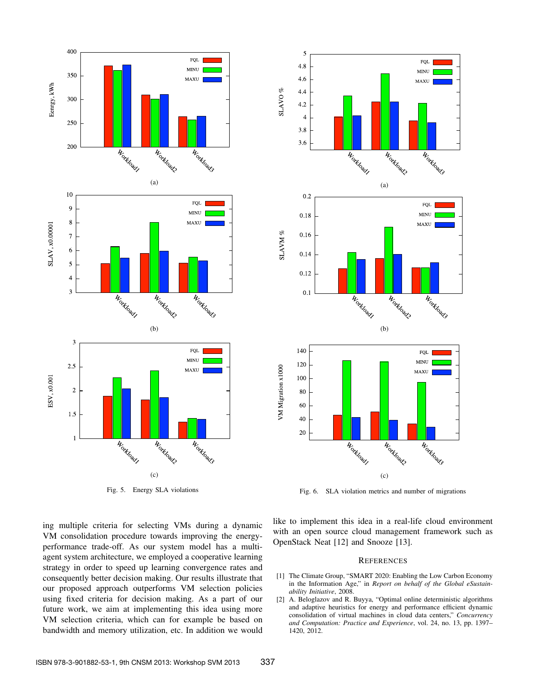

Fig. 5. Energy SLA violations

ing multiple criteria for selecting VMs during a dynamic

like to implement this idea in a real-life cloud environment with an open source cloud management framework such as OpenStack Neat [12] and Snooze [13].

#### **REFERENCES**

- [1] The Climate Group, "SMART 2020: Enabling the Low Carbon Economy in the Information Age," in *Report on behalf of the Global eSustainability Initiative*, 2008.
- [2] A. Beloglazov and R. Buyya, "Optimal online deterministic algorithms and adaptive heuristics for energy and performance efficient dynamic consolidation of virtual machines in cloud data centers," *Concurrency and Computation: Practice and Experience*, vol. 24, no. 13, pp. 1397– 1420, 2012.
- VM consolidation procedure towards improving the energyperformance trade-off. As our system model has a multiagent system architecture, we employed a cooperative learning strategy in order to speed up learning convergence rates and consequently better decision making. Our results illustrate that our proposed approach outperforms VM selection policies using fixed criteria for decision making. As a part of our future work, we aim at implementing this idea using more VM selection criteria, which can for example be based on bandwidth and memory utilization, etc. In addition we would



**FOL** 

MINU

5

4.8

4.6

Fig. 6. SLA violation metrics and number of migrations